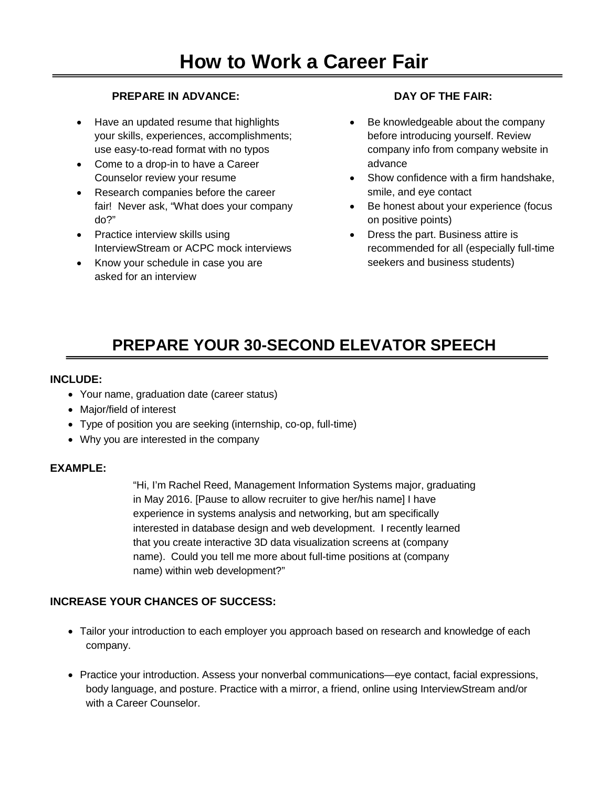#### **PREPARE IN ADVANCE:**

- Have an updated resume that highlights your skills, experiences, accomplishments; use easy-to-read format with no typos
- Come to a drop-in to have a Career Counselor review your resume
- Research companies before the career fair! Never ask, "What does your company do?"
- Practice interview skills using InterviewStream or ACPC mock interviews
- Know your schedule in case you are asked for an interview

#### **DAY OF THE FAIR:**

- Be knowledgeable about the company before introducing yourself. Review company info from company website in advance
- Show confidence with a firm handshake, smile, and eye contact
- Be honest about your experience (focus on positive points)
- Dress the part. Business attire is recommended for all (especially full-time seekers and business students)

# **PREPARE YOUR 30-SECOND ELEVATOR SPEECH**

#### **INCLUDE:**

- Your name, graduation date (career status)
- Major/field of interest
- Type of position you are seeking (internship, co-op, full-time)
- Why you are interested in the company

#### **EXAMPLE:**

"Hi, I'm Rachel Reed, Management Information Systems major, graduating in May 2016. [Pause to allow recruiter to give her/his name] I have experience in systems analysis and networking, but am specifically interested in database design and web development. I recently learned that you create interactive 3D data visualization screens at (company name). Could you tell me more about full-time positions at (company name) within web development?"

#### **INCREASE YOUR CHANCES OF SUCCESS:**

- Tailor your introduction to each employer you approach based on research and knowledge of each company.
- Practice your introduction. Assess your nonverbal communications—eye contact, facial expressions, body language, and posture. Practice with a mirror, a friend, online using InterviewStream and/or with a Career Counselor.